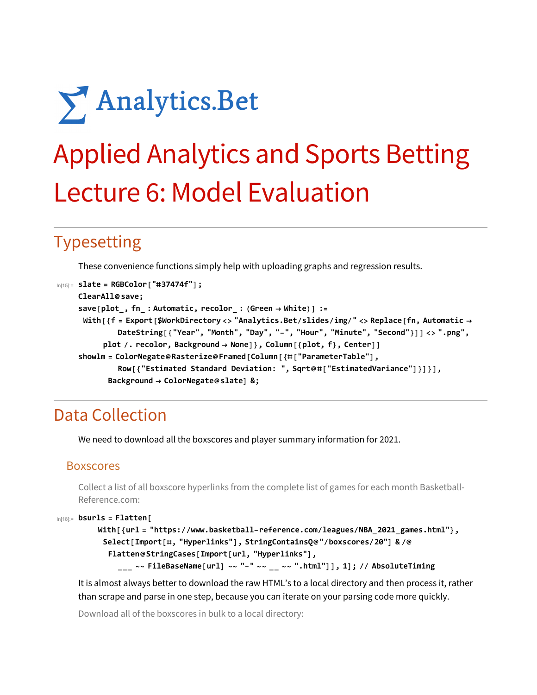# Analytics.Bet

# Applied Analytics and Sports Betting Lecture 6: Model Evaluation

# Typesetting

These convenience functions simply help with uploading graphs and regression results.

```
In[15]:= slate = RGBColor["#37474f"];
    ClearAll@save;
     save[plot_, fn_ : Automatic, recolor_ : (Green  White)] :=
     With[{f = Export[$WorkDirectory <> "Analytics.Bet/slides/img/" <> Replace[fn, Automatic 
             DateString[{"Year", "Month", "Day", "-", "Hour", "Minute", "Second"}]] <> ".png",
          plot /. recolor, Background  None]}, Column[{plot, f}, Center]]
     showlm = ColorNegate@Rasterize@Framed[Column[{#["ParameterTable"],
              Row[{"Estimated Standard Deviation: ", Sqrt@#["EstimatedVariance"]}]}],
           Background  ColorNegate@slate] &;
```
# Data Collection

We need to download all the boxscores and player summary information for 2021.

### Boxscores

Collect a list of all boxscore hyperlinks from the complete list of games for each month Basketball-Reference.com:

```
In[18]:= bsurls = Flatten[
```

```
With[{url = "https://www.basketball-reference.com/leagues/NBA_2021_games.html"},
 Select[Import[#, "Hyperlinks"], StringContainsQ@"/boxscores/20"] & /@
  Flatten@StringCases[Import[url, "Hyperlinks"],
    ___ ~~ FileBaseName[url] ~~ "-" ~~ __ ~~ ".html"]], 1]; // AbsoluteTiming
```
It is almost always better to download the raw HTML's to a local directory and then process it, rather than scrape and parse in one step, because you can iterate on your parsing code more quickly.

Download all of the boxscores in bulk to a local directory: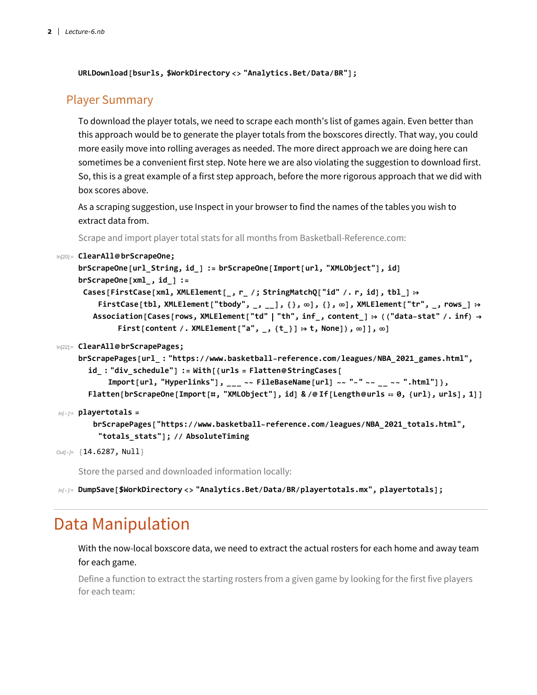**URLDownload[bsurls, \$WorkDirectory <> "Analytics.Bet/Data/BR"];**

### Player Summary

To download the player totals, we need to scrape each month's list of games again. Even better than this approach would be to generate the player totals from the boxscores directly. That way, you could more easily move into rolling averages as needed. The more direct approach we are doing here can sometimes be a convenient first step. Note here we are also violating the suggestion to download first. So, this is a great example of a first step approach, before the more rigorous approach that we did with box scores above.

As a scraping suggestion, use Inspect in your browser to find the names of the tables you wish to extract data from.

Scrape and import player total stats for all months from Basketball-Reference.com:

```
In[20]:= ClearAll@brScrapeOne;
```

```
brScrapeOne[url_String, id_] := brScrapeOne[Import[url, "XMLObject"], id]
brScrapeOne[xml_, id_] :=
 Cases[FirstCase[xml, XMLElement[_, r_ /; StringMatchQ["id" /. r, id], tbl_] 
    FirstCase[tbl, XMLElement["tbody", _, __], {}, \infty], {}, \infty], XMLElement["tr", _, rows_] :>
   Association[Cases[rows, XMLElement["td" "th", inf_, content_]  (("data-stat" /. inf) 
         First[content /. XMLElement["a", _, {t_}]  t, None]), ∞]], ∞]
```
#### In[22]:= **ClearAll@brScrapePages;**

```
brScrapePages[url_ : "https://www.basketball-reference.com/leagues/NBA_2021_games.html",
  id_ : "div_schedule"] := With[{urls = Flatten@StringCases[
      Import[url, "Hyperlinks"], ___ ~~ FileBaseName[url] ~~ "-" ~~ __ ~~ ".html"]},
  Flatten[brScrapeOne[Import[#, "XMLObject"], id] & /@If[Length@urls == 0, {url}, urls], 1]]
```

```
In[ ]:= playertotals =
        brScrapePages["https://www.basketball-reference.com/leagues/NBA_2021_totals.html",
         "totals_stats"]; // AbsoluteTiming
```

```
Out[]= {14.6287, Null}
```
Store the parsed and downloaded information locally:

*In[ ]:=* **DumpSave[\$WorkDirectory <> "Analytics.Bet/Data/BR/playertotals.mx", playertotals];**

## Data Manipulation

With the now-local boxscore data, we need to extract the actual rosters for each home and away team for each game.

Define a function to extract the starting rosters from a given game by looking for the first five players for each team: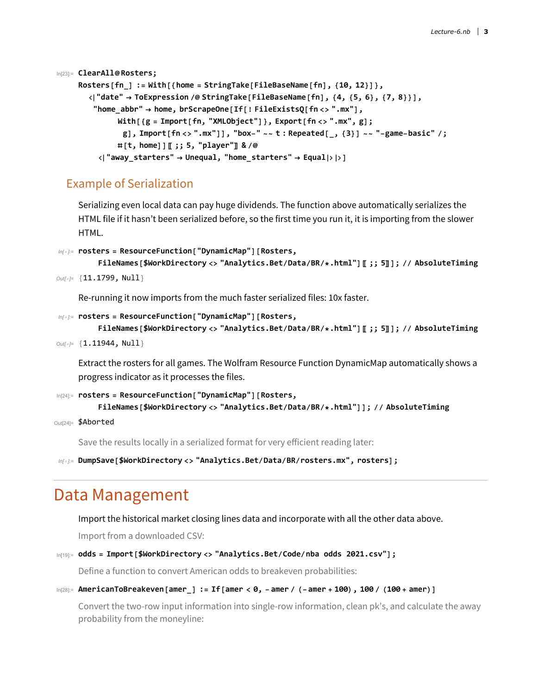```
In[23]:= ClearAll@Rosters;
    Rosters[fn_] := With[{home = StringTake[FileBaseName[fn], {10, 12}]},
       "date"  ToExpression /@ StringTake[FileBaseName[fn], {4, {5, 6}, {7, 8}}],
        "home_abbr"  home, brScrapeOne[If[! FileExistsQ[fn <> ".mx"],
              With[{g = Import[fn, "XMLObject"]}, Export[fn <> ".mx", g];
               g], Import [fn <> ".mx"]], "box-" ~~ t: Repeated [ , {3}] ~~ "-game-basic" /;
             #[t, home]]〚 ;; 5, "player"〛 & /@
         "away_starters"  Unequal, "home_starters"  Equal]
```
### Example of Serialization

Serializing even local data can pay huge dividends. The function above automatically serializes the HTML file if it hasn't been serialized before, so the first time you run it, it is importing from the slower HTML.

```
In[ ]:= rosters = ResourceFunction["DynamicMap"][Rosters,
```

```
FileNames[$WorkDirectory <> "Analytics.Bet/Data/BR/*.html"]〚 ;; 5〛]; // AbsoluteTiming
Out[]= {11.1799, Null}
```
Re-running it now imports from the much faster serialized files: 10x faster.

```
In[ ]:= rosters = ResourceFunction["DynamicMap"][Rosters,
```

```
FileNames[$WorkDirectory <> "Analytics.Bet/Data/BR/*.html"]〚 ;; 5〛]; // AbsoluteTiming
```

```
Out[]= {1.11944, Null}
```
Extract the rosters for all games. The Wolfram Resource Function DynamicMap automatically shows a progress indicator as it processes the files.

```
In[24]:= rosters = ResourceFunction["DynamicMap"][Rosters,
         FileNames[$WorkDirectory <> "Analytics.Bet/Data/BR/*.html"]]; // AbsoluteTiming
```

```
Out[24]= $Aborted
```
Save the results locally in a serialized format for very efficient reading later:

*In[ ]:=* **DumpSave[\$WorkDirectory <> "Analytics.Bet/Data/BR/rosters.mx", rosters];**

## Data Management

Import the historical market closing lines data and incorporate with all the other data above.

Import from a downloaded CSV:

```
In[19]:= odds = Import[$WorkDirectory <> "Analytics.Bet/Code/nba odds 2021.csv"];
```
Define a function to convert American odds to breakeven probabilities:

```
\ln[28]: AmericanToBreakeven[amer_] := If[amer < 0, -amer / (-amer + 100), 100 / (100 + amer)]
```
Convert the two-row input information into single-row information, clean pk's, and calculate the away probability from the moneyline: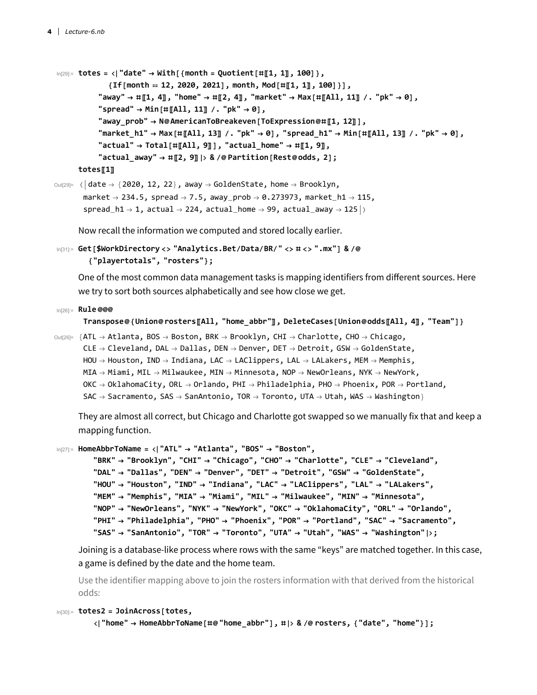```
In[29]:= totes = "date"  With[{month = Quotient[#〚1, 1〛, 100]},
             {If[month  12, 2020, 2021], month, Mod[#〚1, 1〛, 100]}],
          "away"  #〚1, 4〛, "home"  #〚2, 4〛, "market"  Max[#〚All, 11〛 /. "pk"  0],
          "spread" \rightarrow Min[\#[All, 11] /. "pk" \rightarrow 0],
          "away_prob"  N@AmericanToBreakeven[ToExpression@#〚1, 12〛],
          "market h1" \rightarrow Max[#[[All, 13]] /. "pk" \rightarrow 0], "spread h1" \rightarrow Min[#[[All, 13]] /. "pk" \rightarrow 0],
          "actual"  Total[#〚All, 9〛], "actual_home"  #〚1, 9〛,
          "actual_away"  #〚2, 9〛 & /@ Partition[Rest@odds, 2];
     totes〚1〛
```

```
\text{Out[29]} = \langle \text{date} \rightarrow \{2020, 12, 22\}, \text{away} \rightarrow \text{GoldenState, home} \rightarrow \text{Brooklyn},market \rightarrow 234.5, spread \rightarrow 7.5, away_prob \rightarrow 0.273973, market_h1 \rightarrow 115,
            spread_h1 \rightarrow 1, actual \rightarrow 224, actual_home \rightarrow 99, actual_away \rightarrow 125 \rightarrow
```
Now recall the information we computed and stored locally earlier.

```
In[31]:= Get[$WorkDirectory <> "Analytics.Bet/Data/BR/" <> # <> ".mx"] & /@
       {"playertotals", "rosters"};
```
One of the most common data management tasks is mapping identifiers from different sources. Here we try to sort both sources alphabetically and see how close we get.

#### In[26]:= **Rule @@@**

```
Transpose@{Union@rosters〚All, "home_abbr"〛, DeleteCases[Union@odds〚All, 4〛, "Team"]}
```

```
\text{Out[26]} = \{ATL \rightarrow Atlanta, BOS \rightarrow Boston, BRK \rightarrow Brooklyn, CHI \rightarrow Charlotte, CHO \rightarrow Chicago,CLE \rightarrow Cleveland, DAL \rightarrow Dallas, DEN \rightarrow Denver, DET \rightarrow Detroit, GSW \rightarrow GoldenState,HOU \rightarrow Houston, IND \rightarrow Indian, LAC \rightarrow LAClippers, LAL \rightarrow LALakers, MEM \rightarrow Memphis,
           MIA \rightarrow Miami, MIL \rightarrow Milwaukee, MIN \rightarrow Minnesota, NOP \rightarrow NewOrleans, NYK \rightarrow NewYork,
           OKC \rightarrow OklahomaCity, ORL \rightarrow Orlando, PHI \rightarrow Philadelphia, PHO \rightarrow Phoenix, POR \rightarrow Portland,
           SAC \rightarrow Sacramento, SAS \rightarrow SanAntonio, TOR \rightarrow Toronto, UTA \rightarrow Utah, WAS \rightarrow Washington\}
```
They are almost all correct, but Chicago and Charlotte got swapped so we manually fix that and keep a mapping function.

```
In[27]:= HomeAbbrToName = "ATL"  "Atlanta", "BOS"  "Boston",
```

```
"BRK"  "Brooklyn", "CHI"  "Chicago", "CHO"  "Charlotte", "CLE"  "Cleveland",
"DAL"  "Dallas", "DEN"  "Denver", "DET"  "Detroit", "GSW"  "GoldenState",
"HOU"  "Houston", "IND"  "Indiana", "LAC"  "LAClippers", "LAL"  "LALakers",
"MEM"  "Memphis", "MIA"  "Miami", "MIL"  "Milwaukee", "MIN"  "Minnesota",
"NOP"  "NewOrleans", "NYK"  "NewYork", "OKC"  "OklahomaCity", "ORL"  "Orlando",
"PHI"  "Philadelphia", "PHO"  "Phoenix", "POR"  "Portland", "SAC"  "Sacramento",
"SAS"  "SanAntonio", "TOR"  "Toronto", "UTA"  "Utah", "WAS"  "Washington";
```
Joining is a database-like process where rows with the same "keys" are matched together. In this case, a game is defined by the date and the home team.

Use the identifier mapping above to join the rosters information with that derived from the historical odds:

```
In[30]:= totes2 = JoinAcross[totes,
```

```
"home"  HomeAbbrToName[#@"home_abbr"], # & /@ rosters, {"date", "home"}];
```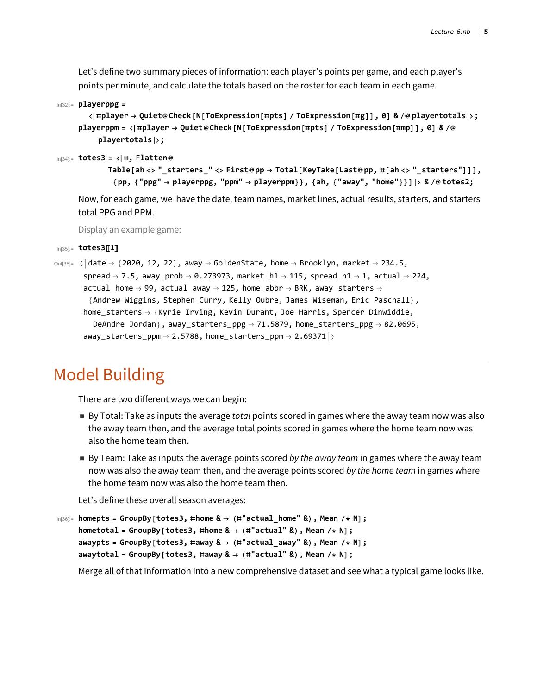Let's define two summary pieces of information: each player's points per game, and each player's points per minute, and calculate the totals based on the roster for each team in each game.

```
In[32]:= playerppg =
```

```
<|#player -> Quiet@Check[N[ToExpression[#pts] / ToExpression[#g]], 0] & /@playertotals|>;
playerppm = <|#player → Quiet@Check[N[ToExpression[#pts] / ToExpression[#mp]], 0] & /@
    playertotals;
```

```
In[34]:= totes3 = #, Flatten@
```

```
Table[ah <> " starters " <> First@pp \rightarrow Total[KeyTake[Last@pp, #[ah <> " starters"]]],
 {pp, {"ppg"  playerppg, "ppm"  playerppm}}, {ah, {"away", "home"}}] & /@ totes2;
```
Now, for each game, we have the date, team names, market lines, actual results, starters, and starters total PPG and PPM.

Display an example game:

```
In[35]:= totes3〚1〛
```

```
\text{Out}(35) = \langle \text{date} \rightarrow \{2020, 12, 22\}, \text{away} \rightarrow \text{GoldenState}, \text{home} \rightarrow \text{Brooklyn}, \text{market} \rightarrow 234.5,spread \rightarrow 7.5, away_prob \rightarrow 0.273973, market_h1 \rightarrow 115, spread_h1 \rightarrow 1, actual \rightarrow 224,
         actual\_home \rightarrow 99, actual\_away \rightarrow 125, home\_abbr \rightarrow BRK, away\_starters \rightarrow{Andrew Wiggins, Stephen Curry, Kelly Oubre, James Wiseman, Eric Paschall},
         home_starters \rightarrow {Kyrie Irving, Kevin Durant, Joe Harris, Spencer Dinwiddie,
             DeAndre Jordan}, away_starters_ppg \rightarrow 71.5879, home_starters_ppg \rightarrow 82.0695,
          away_starters_ppm \rightarrow 2.5788, home_starters_ppm \rightarrow 2.69371 \rightarrow
```
# Model Building

There are two different ways we can begin:

- By Total: Take as inputs the average *total* points scored in games where the away team now was also the away team then, and the average total points scored in games where the home team now was also the home team then.
- By Team: Take as inputs the average points scored *by the away team* in games where the away team now was also the away team then, and the average points scored *by the home team* in games where the home team now was also the home team then.

Let's define these overall season averages:

```
In[36]:= homepts = GroupBy[totes3, #home &  (#"actual_home" &), Mean /* N];
     hometotal = GroupBy[totes3, #home &  (#"actual" &), Mean /* N];
     awaypts = GroupBy[totes3, #away &  (#"actual_away" &), Mean /* N];
     awaytotal = GroupBy[totes3, #away &  (#"actual" &), Mean /* N];
```
Merge all of that information into a new comprehensive dataset and see what a typical game looks like.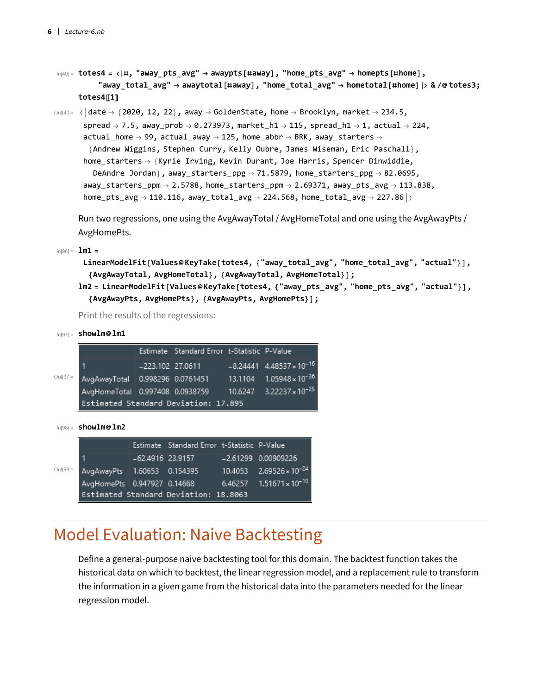$\ln[40]$ := totes4 = <|#, "away\_pts\_avg"  $\rightarrow$  awaypts[#away], "home\_pts\_avg"  $\rightarrow$  homepts[#home], "away total avg"  $\rightarrow$  awaytotal[#away], "home total avg"  $\rightarrow$  hometotal[#home] |> & /@totes3; **totes4〚1〛**

 $\text{Out}(40)=$   $\langle$  date  $\rightarrow$  {2020, 12, 22}, away  $\rightarrow$  GoldenState, home  $\rightarrow$  Brooklyn, market  $\rightarrow$  234.5, spread  $\rightarrow$  7.5, away\_prob  $\rightarrow$  0.273973, market\_h1  $\rightarrow$  115, spread\_h1  $\rightarrow$  1, actual  $\rightarrow$  224,  $actual\_home \rightarrow 99$ ,  $actual\_away \rightarrow 125$ ,  $home\_abbr \rightarrow BRK$ ,  $away\_starters \rightarrow$ {Andrew Wiggins, Stephen Curry, Kelly Oubre, James Wiseman, Eric Paschall}, home\_starters  $\rightarrow$  {Kyrie Irving, Kevin Durant, Joe Harris, Spencer Dinwiddie, DeAndre Jordan}, away\_starters\_ppg  $\rightarrow$  71.5879, home\_starters\_ppg  $\rightarrow$  82.0695, away\_starters\_ppm  $\rightarrow$  2.5788, home\_starters\_ppm  $\rightarrow$  2.69371, away\_pts\_avg  $\rightarrow$  113.838,  $home\_pts\_avg \rightarrow 110.116$ , away\_total\_avg  $\rightarrow$  224.568, home\_total\_avg  $\rightarrow$  227.86  $\vert$  >

Run two regressions, one using the AvgAwayTotal / AvgHomeTotal and one using the AvgAwayPts / AvgHomePts.

In[96]:= **lm1 =**

```
LinearModelFit[Values@KeyTake[totes4, {"away_total_avg", "home_total_avg", "actual"}],
 {AvgAwayTotal, AvgHomeTotal}, {AvgAwayTotal, AvgHomeTotal}];
```

```
lm2 = LinearModelFit [Values@KeyTake[totes4, {"away pts avg", "home pts avg", "actual"}],
  {AvgAwayPts, AvgHomePts}, {AvgAwayPts, AvgHomePts}];
```
Print the results of the regressions:

In[97]:= **showlm@lm1**

|          |                                                                     | Estimate Standard Error t-Statistic P-Value |                                        |
|----------|---------------------------------------------------------------------|---------------------------------------------|----------------------------------------|
|          |                                                                     | -223.102 27.0611                            | $-8.24441$ 4.48537 × 10 <sup>-16</sup> |
| Out[97]= | AvgAwayTotal 0.998296 0.0761451 13.1104 1.05948 x 10 <sup>-36</sup> |                                             |                                        |
|          | AvgHomeTotal 0.997408 0.0938759 10.6247 3.22237 × 10 <sup>-25</sup> |                                             |                                        |
|          | Estimated Standard Deviation: 17.895                                |                                             |                                        |
|          |                                                                     |                                             |                                        |

| $ln[98] =$ | showlm@lm2 |
|------------|------------|
|------------|------------|

|          |                             | Estimate Standard Error t-Statistic P-Value |                                     |
|----------|-----------------------------|---------------------------------------------|-------------------------------------|
|          |                             | -62.4916 23.9157                            | -2.61299 0.00909226                 |
| Out[98]= | AvgAwayPts 1.60653 0.154395 |                                             | $10.4053$ $2.69526 \times 10^{-24}$ |
|          |                             | AvgHomePts 0.947927 0.14668                 | $6.46257$ $1.51671 \times 10^{-10}$ |
|          |                             | Estimated Standard Deviation: 18.8063       |                                     |

## Model Evaluation: Naive Backtesting

Define a general-purpose naive backtesting tool for this domain. The backtest function takes the historical data on which to backtest, the linear regression model, and a replacement rule to transform the information in a given game from the historical data into the parameters needed for the linear regression model.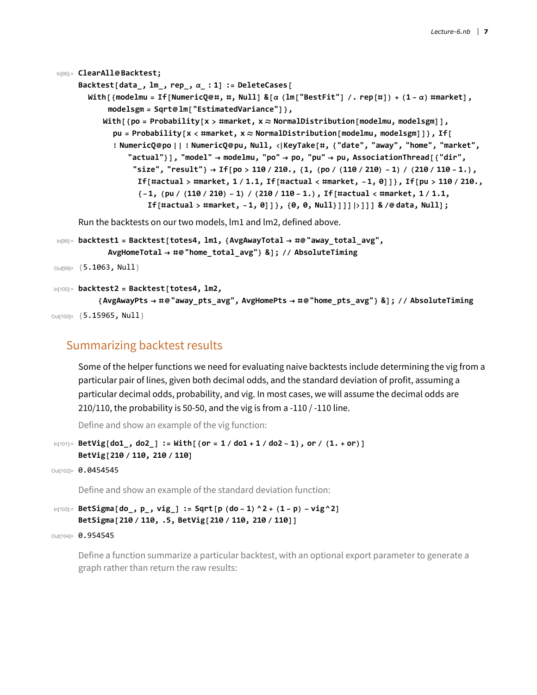```
In[95]:= ClearAll@Backtest;
     Backtest[data, lm, rep, \alpha : 1] := DeleteCases[
       With [{modelmu = If [NumericQ@#, #, Null] & [\alpha (lm ["BestFit"] /. rep [#]) + (1 - \alpha) #market],
            modelsgm = Sqrt@lm["EstimatedVariance"]},
           With[{po = Probability[x > #market, x  NormalDistribution[modelmu, modelsgm]],
             pu = Probability[x < #market, x  NormalDistribution[modelmu, modelsgm]]}, If[
             ! NumericQ@po || ! NumericQ@pu, Null, KeyTake[#, {"date", "away", "home", "market",
                 "actual"}], "model"  modelmu, "po"  po, "pu"  pu, AssociationThread[{"dir",
                  "size", "result"} \rightarrow If[po > 110 / 210., {1, (po / (110 / 210) - 1) / (210 / 110 - 1.),
                   If [#actual > #market, 1/1.1, If [#actual < #market, -1, 0]]}, If [pu > 110/210.,
                   \{-1, (pu / (110 / 210) - 1) / (210 / 110 - 1.), If [tactual < #market, 1 / 1.1,If[#actual > #market, -1, 0]]}, {0, 0, Null}]]]]]] & /@ data, Null];
     Run the backtests on our two models, lm1 and lm2, defined above.
In[99]:= backtest1 = Backtest[totes4, lm1, {AvgAwayTotal  #@"away_total_avg",
            AvgHomeTotal  #@"home_total_avg"} &]; // AbsoluteTiming
```

```
Out[99]= {5.1063, Null}
```

```
In[100]:= backtest2 = Backtest[totes4, lm2,
```

```
{AvgAwayPts  #@"away_pts_avg", AvgHomePts  #@"home_pts_avg"} &]; // AbsoluteTiming
Out[100]= {5.15965, Null}
```
### Summarizing backtest results

Some of the helper functions we need for evaluating naive backtests include determining the vig from a particular pair of lines, given both decimal odds, and the standard deviation of profit, assuming a particular decimal odds, probability, and vig. In most cases, we will assume the decimal odds are 210/110, the probability is 50-50, and the vig is from a -110 / -110 line.

Define and show an example of the vig function:

```
\ln[101] = BetVig[do1_, do2_] := With[{or = 1/do1 + 1/do2 - 1}, or / (1. + or)]
     BetVig[210 / 110, 210 / 110]
```

```
Out[102]= 0.0454545
```
Define and show an example of the standard deviation function:

```
\ln[103]:= BetSigma[do_, p_, vig_] := Sqrt[p (do-1)^2+ (1-p) - vig^2]
     BetSigma[210 / 110, .5, BetVig[210 / 110, 210 / 110]]
```

```
Out[104]= 0.954545
```
Define a function summarize a particular backtest, with an optional export parameter to generate a graph rather than return the raw results: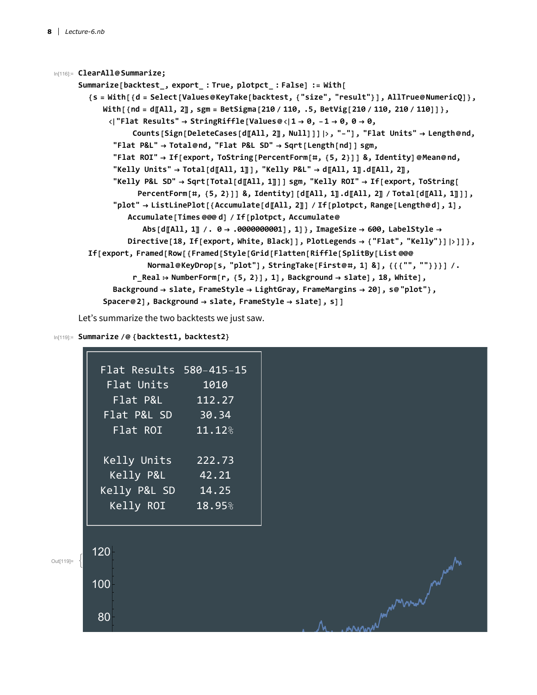```
In[116]:= ClearAll@Summarize;
     Summarize[backtest_, export_ : True, plotpct_ : False] := With[
        {S = With[{d = Select[Values@KeyTake[backtest, {"size", "result"}], AllTrue@NumericQ]},
           With[{nd = d[All, 2]], sgm = BetSigma[210 / 110, .5, BetVig[210 / 110, 210 / 110]]},
            "Flat Results"  StringRiffle[Values@1  0, -1  0, 0  0,
                  Counts[Sign[DeleteCases[d〚All, 2〛, Null]]], "-"], "Flat Units"  Length@nd,
             "Flat P&L"  Total@nd, "Flat P&L SD"  Sqrt[Length[nd]] sgm,
             "Flat ROI"  If[export, ToString[PercentForm[#, {5, 2}]] &, Identity]@Mean@nd,
             "\text{Kelly Units} \rightarrow \text{Total[dA11, 1]]}, \text{Kelly PAL} \rightarrow \text{dA11, 1} \cdot \text{dA11, 2}"Kelly P&L SD"  Sqrt[Total[d〚All, 1〛]] sgm, "Kelly ROI"  If[export, ToString[
                   PercentForm[#, \{5, 2\}]] &, Identity][d[All, 1]].d[All, 2] / Total[d[All, 1]]],
             "plot" → ListLinePlot[{Accumulate[d[All, 2]] / If[plotpct, Range[Length@d], 1],
                 Accumulate[Times @@@ d] / If[plotpct, Accumulate@
                    Abs[d〚All, 1〛 /. 0  .0000000001], 1]}, ImageSize  600, LabelStyle 
                 Directive[18, If[export, White, Black]], PlotLegends  {"Flat", "Kelly"}]]]},
        If[export, Framed[Row[{Framed[Style[Grid[Flatten[Riffle[SplitBy[List @@@
                     Normal@KeyDrop[s, "plot"], StringTake[First@#, 1] &], {{{"", ""}}}] /.
                  r_Real  NumberForm[r, {5, 2}], 1], Background  slate], 18, White],
             Background  slate, FrameStyle  LightGray, FrameMargins  20], s@"plot"},
           Spacer@2], Background  slate, FrameStyle  slate], s]]
```
Let's summarize the two backtests we just saw.

#### In[119]:= **Summarize /@ {backtest1, backtest2}**

| Flat Results 580-415-15 |        |
|-------------------------|--------|
| <u>Flat Units</u>       | 1010   |
| Flat P&L                | 112.27 |
| Flat P&L SD             | 30.34  |
| Flat ROI                | 11.12% |
|                         |        |
| Kelly Units             | 222.73 |
| Kelly P&L               | 42.21  |
| Kelly P&L SD            | 14.25  |
| Kelly ROI               | 18.95% |
|                         |        |

120 Out[119]= where we had not 100 80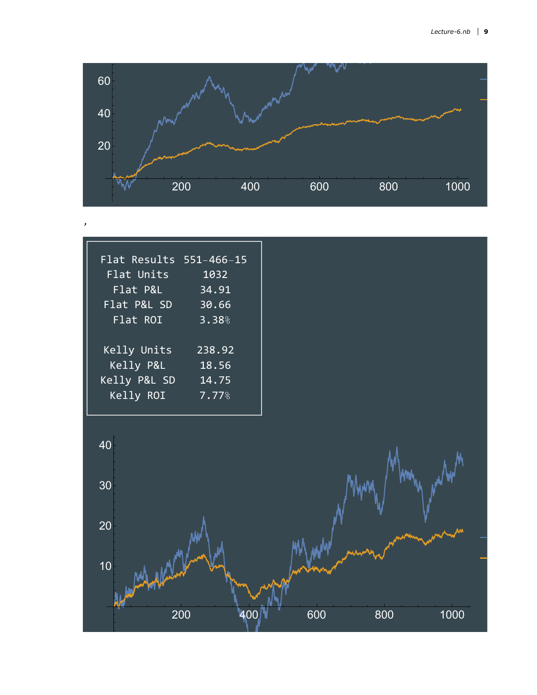

| Flat Results 551-466-15 |        |
|-------------------------|--------|
| Flat Units              | 1032   |
| Flat P&L                | 34.91  |
| Flat P&L SD             | 30.66  |
| Flat ROI                | 3.38%  |
|                         |        |
| Kelly Units             | 238.92 |
| Kelly P&L               | 18.56  |
| Kelly P&L SD            | 14.75  |
| Kelly ROI               | 7.77%  |
|                         |        |

,

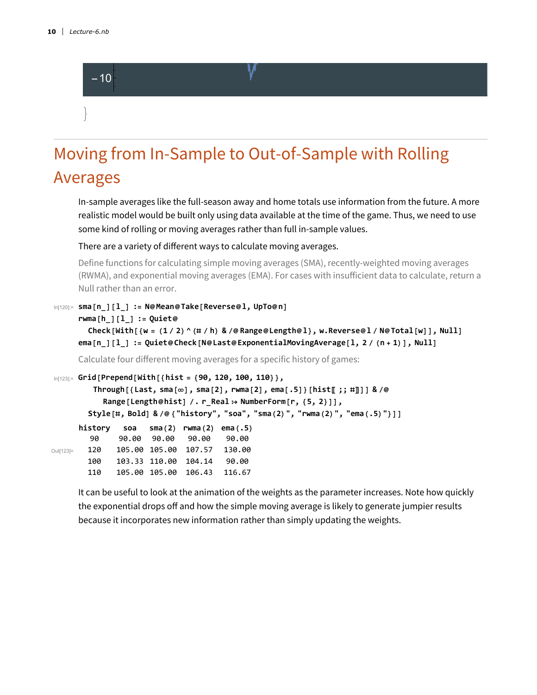

# Moving from In-Sample to Out-of-Sample with Rolling Averages

In-sample averages like the full-season away and home totals use information from the future. A more realistic model would be built only using data available at the time of the game. Thus, we need to use some kind of rolling or moving averages rather than full in-sample values.

There are a variety of different ways to calculate moving averages.

Define functions for calculating simple moving averages (SMA), recently-weighted moving averages (RWMA), and exponential moving averages (EMA). For cases with insufficient data to calculate, return a Null rather than an error.

```
In[120]:= sma[n_][l_] := N@Mean@Take[Reverse@l, UpTo@n]
```

```
rwma[h_][l_] := Quiet@
```

```
Check [With [{w = (1/2) ^ (\# / h) & /@ Range@Length@l}, w.Reverse@l/N@Total [w]], Null]
ema[n_][l_] := Quiet@Check[N@Last@ExponentialMovingAverage[l, 2/(n+1)], Null]
```
Calculate four different moving averages for a specific history of games:

```
In[123]:= Grid[Prepend[With[{hist = {90, 120, 100, 110}},
         Through [{Last, sma[\infty], sma[2], rwma[2], ema[.5]} [hist[[;; #]]] & /@
           Range[Length@hist] /. r_Real  NumberForm[r, {5, 2}]],
        Style[#, Bold] & /@ {"history", "soa", "sma(2)", "rwma(2)", "ema(.5)"}]]
Out[123]=
      history soa sma(2) rwma(2) ema(.5)
        90 90.00 90.00 90.00 90.00
       120 105.00 105.00 107.57 130.00
       100 103.33 110.00 104.14 90.00
       110 105.00 105.00 106.43 116.67
```
It can be useful to look at the animation of the weights as the parameter increases. Note how quickly the exponential drops off and how the simple moving average is likely to generate jumpier results because it incorporates new information rather than simply updating the weights.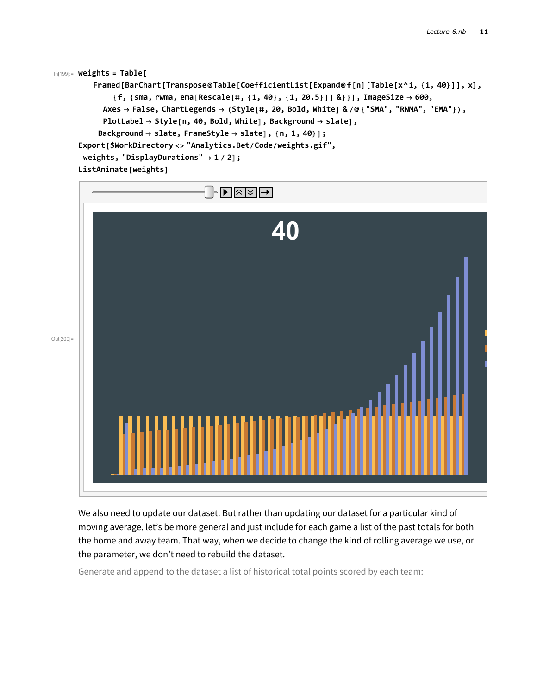```
In[199]:= weights = Table[
         Framed [BarChart [Transpose@Table [CoefficientList [Expand@f[n] [Table [x^i, {i, 40}]], x],
             {f, {sma, rwma, ema[Rescale[#, {1, 40}, {1, 20.5}]] &}}], ImageSize  600,
           Axes  False, ChartLegends  (Style[#, 20, Bold, White] & /@ {"SMA", "RWMA", "EMA"}),
           PlotLabel  Style[n, 40, Bold, White], Background  slate],
          Background  slate, FrameStyle  slate], {n, 1, 40}];
     Export[$WorkDirectory <> "Analytics.Bet/Code/weights.gif",
      weights, "DisplayDurations"  1 / 2];
     ListAnimate[weights]
```


We also need to update our dataset. But rather than updating our dataset for a particular kind of moving average, let's be more general and just include for each game a list of the past totals for both the home and away team. That way, when we decide to change the kind of rolling average we use, or the parameter, we don't need to rebuild the dataset.

Generate and append to the dataset a list of historical total points scored by each team: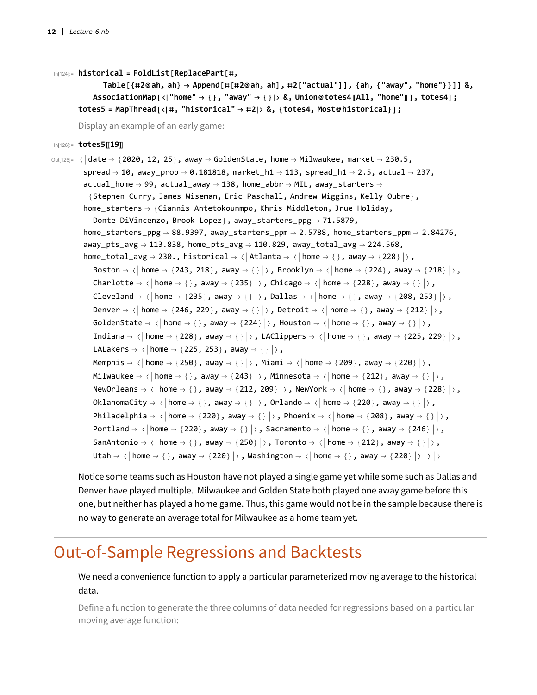In[124]:= **historical = FoldList[ReplacePart[#,**

```
Table [{#2@ah, ah} \rightarrow Append [#[#2@ah, ah], #2["actual"]], {ah, {"away", "home"}}]] &,
   AssociationMap["home"  {}, "away"  {} &, Union@totes4〚All, "home"〛], totes4];
totes5 = MapThread[#, "historical"  #2 &, {totes4, Most@historical}];
```
Display an example of an early game:

In[126]:= **totes5〚19〛**

```
\text{Out}[126] = \langle \text{date} \rightarrow \{2020, 12, 25\}, \text{away} \rightarrow \text{GoldenState}, \text{home} \rightarrow \text{Milwaukee}, \text{market} \rightarrow 230.5,spread \rightarrow 10, away_prob \rightarrow 0.181818, market_h1 \rightarrow 113, spread_h1 \rightarrow 2.5, actual \rightarrow 237,
             actual\_home \rightarrow 99, actual\_away \rightarrow 138, home\_abbr \rightarrow ML, away\_starters \rightarrow{Stephen Curry, James Wiseman, Eric Paschall, Andrew Wiggins, Kelly Oubre},
             home_starters \rightarrow {Giannis Antetokounmpo, Khris Middleton, Jrue Holiday,
                  Donte DiVincenzo, Brook Lopez}, away_starters_ppg → 71.5879,
             home_starters_ppg \rightarrow 88.9397, away_starters_ppm \rightarrow 2.5788, home_starters_ppm \rightarrow 2.84276,
              away_pts_avg \rightarrow 113.838, home_pts_avg \rightarrow 110.829, away_total_avg \rightarrow 224.568,
              home_total_avg \rightarrow 230., historical \rightarrow \langle | Atlanta \rightarrow \langle | home \rightarrow {}, away \rightarrow {228} |\rangle,
                  Boston \rightarrow \langle | home \rightarrow \{243, 218\}, away \rightarrow \{ \} | \rangle, Brooklyn \rightarrow \langle | home \rightarrow \{224\}, away \rightarrow \{218\} | \rangle,
                  Charlotte \rightarrow \langle \vert home \rightarrow \{\}, away \rightarrow {235}\vert \rangle, Chicago \rightarrow \langle \vert home \rightarrow {228}, away \rightarrow {}\vert \rangle,
                  Cleveland \rightarrow \langle home \rightarrow {235}, away \rightarrow {}, Dallas \rightarrow \langle home \rightarrow {}, away \rightarrow {208, 253} \rangle,
                  Denver \rightarrow \langle | home \rightarrow \{246, 229\}, away \rightarrow \langle | \rangle, Detroit \rightarrow \langle | home \rightarrow \{, away \rightarrow \{212\} | \rangle,
                  GoldenState \rightarrow \langle home \rightarrow \{ }, away \rightarrow \{224\} \rangle, Houston \rightarrow \langle home \rightarrow \{ }, away \rightarrow \{ \rangle \rangle,
                  Indiana \rightarrow \langle home \rightarrow {228}, away \rightarrow {}, LAClippers \rightarrow \langle home \rightarrow {}, away \rightarrow {225, 229}\vert \rangle,
                  LALakers \rightarrow \langle home \rightarrow {225, 253}, away \rightarrow {}\rangle,
                  Memphis \rightarrow \langle home \rightarrow {250}, away \rightarrow {}, Miami \rightarrow \langle home \rightarrow {209}, away \rightarrow {220}},
                 Milwaukee \rightarrow \langle \vert home \rightarrow \{\}, away \rightarrow {243}\vert \rangle, Minnesota \rightarrow \langle \vert home \rightarrow {212}, away \rightarrow {}\vert \rangle,
                  NewOrleans \rightarrow \langle | home \rightarrow \{ }, away \rightarrow \{212, 209\} | \rangle , NewYork \rightarrow \langle | home \rightarrow \{ }, away \rightarrow \{228\} | \rangle ,
                  OklahomaCity \rightarrow \langle | home \rightarrow \{ \}, away \rightarrow \{ \} \rangle, \rangle, | orlando \rightarrow \langle | home \rightarrow \{220\}, away \rightarrow \{ \} \rangle,
                  Philadelphia \rightarrow {| home \rightarrow {220}, away \rightarrow {}| \rangle, Phoenix \rightarrow {| home \rightarrow {208}, away \rightarrow {}| \rangle,
                  Portland \rightarrow \langle home \rightarrow {220}, away \rightarrow {}|\rangle, Sacramento \rightarrow \langle home \rightarrow {}, away \rightarrow {246}|\rangle,
                  SanAntonio \rightarrow \langle home \rightarrow {}, away \rightarrow {250} \rangle, Toronto \rightarrow \langle home \rightarrow {212}, away \rightarrow {}\rangle,
                  Utah \rightarrow \langle | home \rightarrow \{ }, away \rightarrow \{220\} | \rangle, Washington \rightarrow \langle | home \rightarrow \{ }, away \rightarrow \{220\} | \rangle | \rangle
```
Notice some teams such as Houston have not played a single game yet while some such as Dallas and Denver have played multiple. Milwaukee and Golden State both played one away game before this one, but neither has played a home game. Thus, this game would not be in the sample because there is no way to generate an average total for Milwaukee as a home team yet.

## Out-of-Sample Regressions and Backtests

#### We need a convenience function to apply a particular parameterized moving average to the historical data.

Define a function to generate the three columns of data needed for regressions based on a particular moving average function: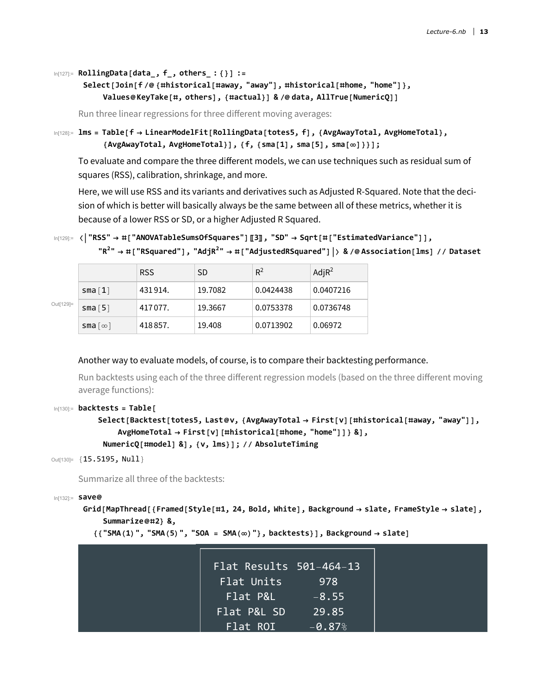```
In[127]:= RollingData[data_, f_, others_ : {}] :=
```
#### **Select[Join[f /@ {#historical[#away, "away"], #historical[#home, "home"]}, Values@KeyTake[#, others], {#actual}] & /@ data, AllTrue[NumericQ]]**

Run three linear regressions for three different moving averages:

```
In[128]:= lms = Table[f  LinearModelFit[RollingData[totes5, f], {AvgAwayTotal, AvgHomeTotal},
           {AvgAwayTotal, AvgHomeTotal}], {f, {sma[1], sma[5], sma[∞]}}];
```
To evaluate and compare the three different models, we can use techniques such as residual sum of squares (RSS), calibration, shrinkage, and more.

Here, we will use RSS and its variants and derivatives such as Adjusted R-Squared. Note that the decision of which is better will basically always be the same between all of these metrics, whether it is because of a lower RSS or SD, or a higher Adjusted R Squared.

```
In[129]:= "RSS"  #["ANOVATableSumsOfSquares"]〚3〛, "SD"  Sqrt[#["EstimatedVariance"]],
```

```
"R2
"  #["RSquared"], "AdjR2
"  #["AdjustedRSquared"] & /@ Association[lms] // Dataset
            RSS \vert SD \vert R<sup>2</sup> \vert AdjR<sup>2</sup>
sma[1] 431 914. 19.7082 0.0424438 0.0407216
```
sma [5] 417 077. 19.3667 0.0753378 0.0736748

sma $\lceil \infty \rceil$  418 857. 19.408 0.0713902 0.06972

```
Out[129]=
```
#### Another way to evaluate models, of course, is to compare their backtesting performance.

Run backtests using each of the three different regression models (based on the three different moving average functions):

```
In[130]:= backtests = Table[
```

```
Select[Backtest[totes5, Last@v, {AvgAwayTotal  First[v][#historical[#away, "away"]],
    AvgHomeTotal  First[v][#historical[#home, "home"]]} &],
 NumericQ[#model] &], {v, lms}]; // AbsoluteTiming
```

```
Out[130]= {15.5195, Null}
```
Summarize all three of the backtests:

```
In[132]:= save@
```
**Grid[MapThread[{Framed[Style[#1, 24, Bold, White], Background slate, FrameStyle slate], Summarize@#2} &,**

```
{{"SMA(1)", "SMA(5)", "SOA = SMA(∞)"}, backtests}], Background  slate]
```

| Flat Results 501-464-13 |          |
|-------------------------|----------|
| Flat Units              | 978      |
| Flat P&L                | $-8.55$  |
| Flat P&L SD             | 29.85    |
| Flat ROI                | $-0.87%$ |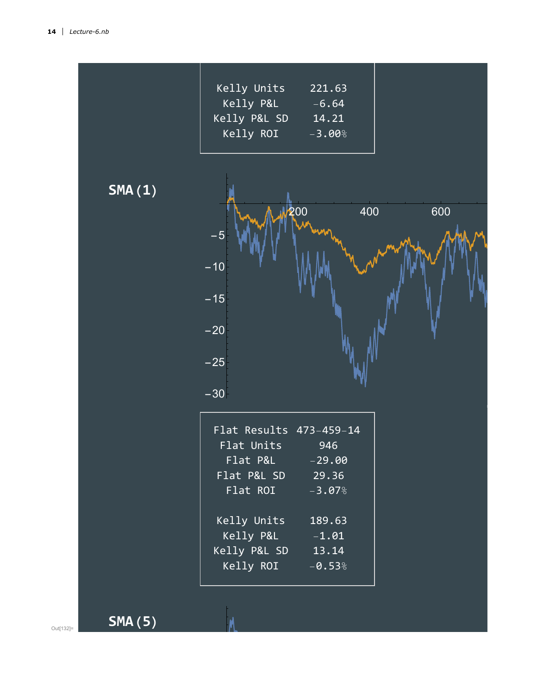| Kelly Units  | 221.63    |
|--------------|-----------|
| Kelly P&L    | $-6.64$   |
| Kelly P&L SD | 14.21     |
| Kelly ROI    | $-3.00\%$ |
|              |           |

**SMA(1)**



| Flat Results $473-459-14$ |                    |
|---------------------------|--------------------|
| Flat Units                | 946                |
| Flat P&L                  | $-29.00$           |
| Flat P&L SD               | $\overline{29.36}$ |
| Flat ROI                  | $-3.07%$           |
|                           |                    |
| Kelly Units               | 189.63             |
| Kelly P&L                 | $-1.01$            |
| Kelly P&L SD              | 13.14              |
| Kelly ROI                 | $-0.53%$           |
|                           |                    |

**SMA(5)**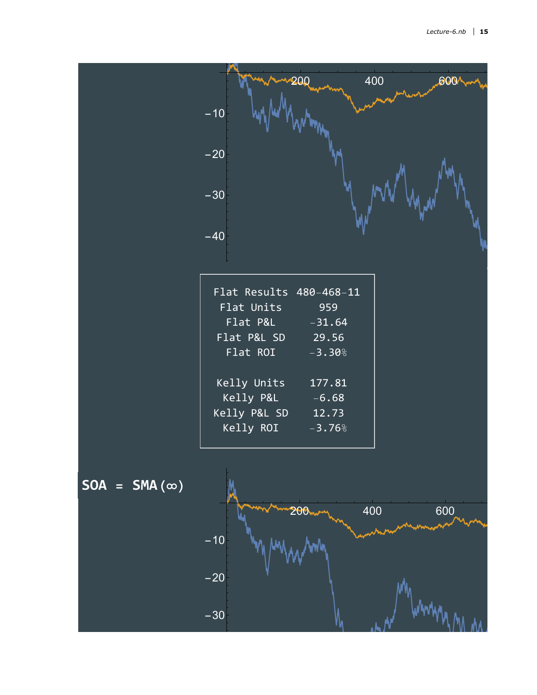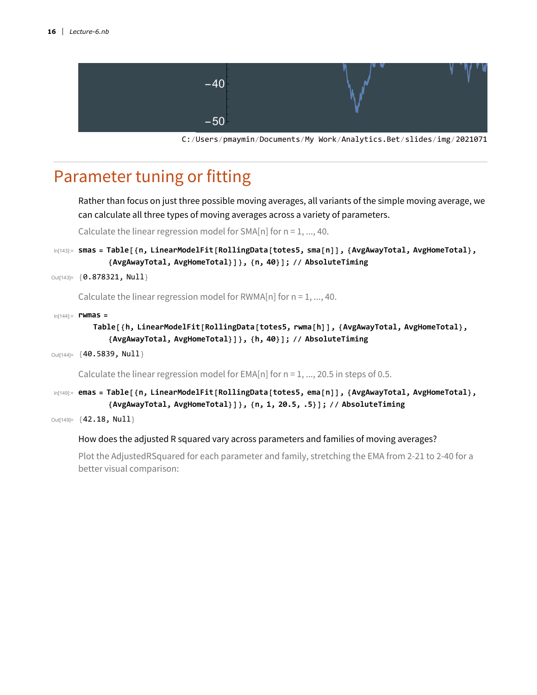

C:/Users/pmaymin/Documents/My Work/Analytics.Bet/slides/img/20210712

# Parameter tuning or fitting

Rather than focus on just three possible moving averages, all variants of the simple moving average, we can calculate all three types of moving averages across a variety of parameters.

Calculate the linear regression model for SMA[n] for  $n = 1, ..., 40$ .

In[143]:= **smas = Table[{n, LinearModelFit[RollingData[totes5, sma[n]], {AvgAwayTotal, AvgHomeTotal}, {AvgAwayTotal, AvgHomeTotal}]}, {n, 40}]; // AbsoluteTiming**

```
Out[143]= { 0.878321, Null }
```
Calculate the linear regression model for RWMA[n] for  $n = 1, ..., 40$ .

In[144]:= **rwmas =**

```
Table[{h, LinearModelFit[RollingData[totes5, rwma[h]], {AvgAwayTotal, AvgHomeTotal},
   {AvgAwayTotal, AvgHomeTotal}]}, {h, 40}]; // AbsoluteTiming
```

```
Out[144]= {40.5839, Null}
```
Calculate the linear regression model for EMA[n] for  $n = 1, ..., 20.5$  in steps of 0.5.

In[149]:= **emas = Table[{n, LinearModelFit[RollingData[totes5, ema[n]], {AvgAwayTotal, AvgHomeTotal}, {AvgAwayTotal, AvgHomeTotal}]}, {n, 1, 20.5, .5}]; // AbsoluteTiming**

Out[149]= {**42.18, Null**}

#### How does the adjusted R squared vary across parameters and families of moving averages?

Plot the AdjustedRSquared for each parameter and family, stretching the EMA from 2-21 to 2-40 for a better visual comparison: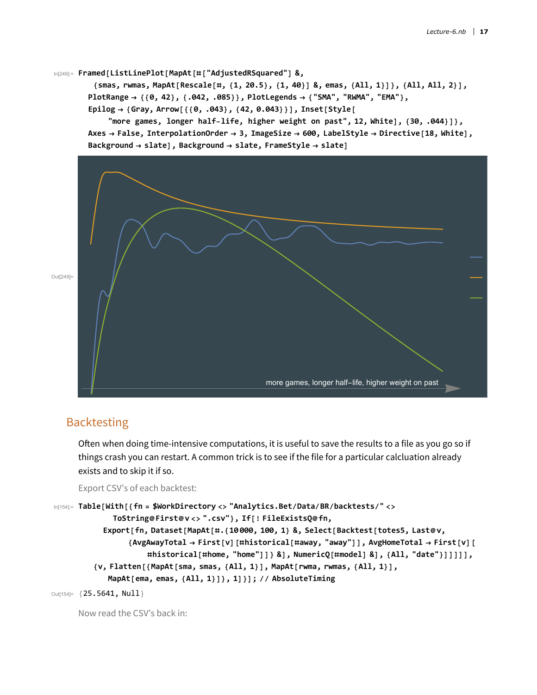```
In[249]:= Framed[ListLinePlot[MapAt[#["AdjustedRSquared"] &,
```
{smas, rwmas, MapAt[Rescale[#, {1, 20.5}, {1, 40}] &, emas, {All, 1}]}, {All, All, 2}], **PlotRange {{0, 42}, {.042, .085}}, PlotLegends {"SMA", "RWMA", "EMA"}, Epilog {Gray, Arrow[{{0, .043}, {42, 0.043}}], Inset[Style[**

**"more games, longer half-life, higher weight on past", 12, White], {30, .044}]}, Axes False, InterpolationOrder 3, ImageSize 600, LabelStyle Directive[18, White], Background slate], Background slate, FrameStyle slate]**



### **Backtesting**

Often when doing time-intensive computations, it is useful to save the results to a file as you go so if things crash you can restart. A common trick is to see if the file for a particular calcluation already exists and to skip it if so.

Export CSV's of each backtest:

```
In[154]:= Table[With[{fn = $WorkDirectory <> "Analytics.Bet/Data/BR/backtests/" <>
              ToString@First@v <> ".csv"}, If[! FileExistsQ@fn,
            Export[fn, Dataset[MapAt[#.{10 000, 100, 1} &, Select[Backtest[totes5, Last@v,
                 {AvgAwayTotal  First[v][#historical[#away, "away"]], AvgHomeTotal  First[v][
                      #historical[#home, "home"]]} &], NumericQ[#model] &], {All, "date"}]]]]],
         {v, Flatten[{MapAt[sma, smas, {All, 1}], MapAt[rwma, rwmas, {All, 1}],
             MapAt[ema, emas, {All, 1}]}, 1]}]; // AbsoluteTiming
Out[154]= {25.5641, Null}
```
Now read the CSV's back in: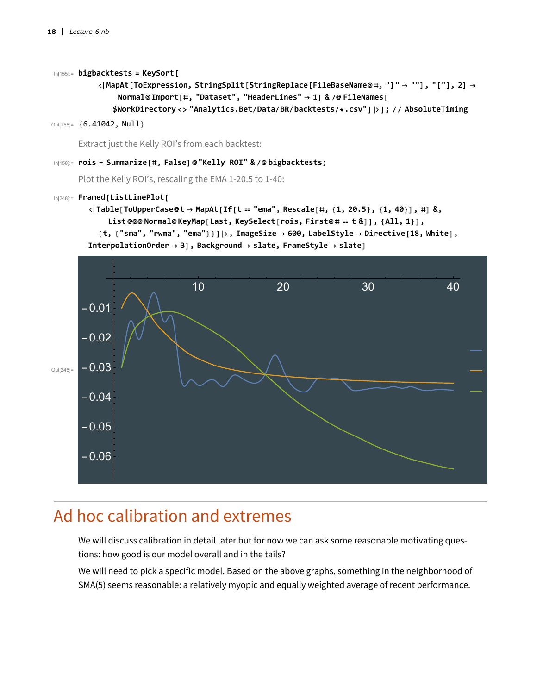#### In[155]:= **bigbacktests = KeySort[**

```
MapAt[ToExpression, StringSplit[StringReplace[FileBaseName@#, "]"  ""], "["], 2] 
    Normal@Import[#, "Dataset", "HeaderLines"  1] & /@ FileNames[
   $WorkDirectory <> "Analytics.Bet/Data/BR/backtests/*.csv"]]; // AbsoluteTiming
```

```
Out[155]= {6.41042, Null}
```
Extract just the Kelly ROI's from each backtest:

#### In[158]:= **rois = Summarize[#, False]@"Kelly ROI" & /@ bigbacktests;**

Plot the Kelly ROI's, rescaling the EMA 1-20.5 to 1-40:

#### In[248]:= **Framed[ListLinePlot[**

```
\langle|Table[ToUpperCase@t \rightarrow MapAt[If[t == "ema", Rescale[#, {1, 20.5}, {1, 40}], #] &,
    List @@@ Normal@KeyMap[Last, KeySelect[rois, First@#  t &]], {All, 1}],
```
**{t, {"sma", "rwma", "ema"}}], ImageSize 600, LabelStyle Directive[18, White],**

```
InterpolationOrder  3], Background  slate, FrameStyle  slate]
```


### Ad hoc calibration and extremes

We will discuss calibration in detail later but for now we can ask some reasonable motivating questions: how good is our model overall and in the tails?

We will need to pick a specific model. Based on the above graphs, something in the neighborhood of SMA(5) seems reasonable: a relatively myopic and equally weighted average of recent performance.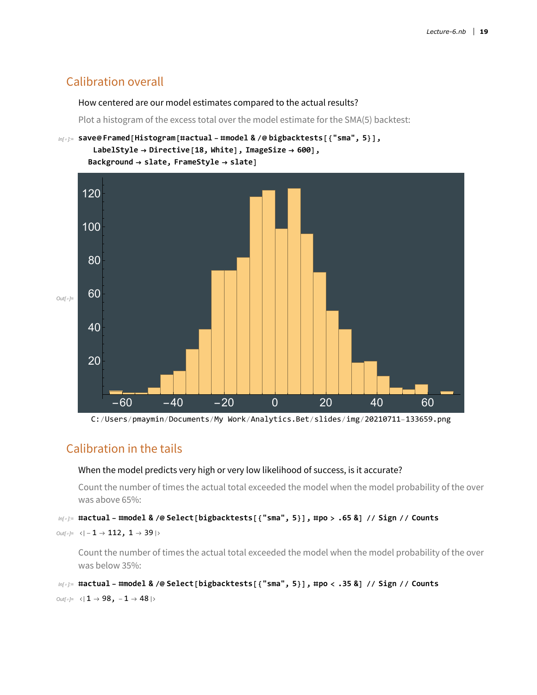### Calibration overall

#### How centered are our model estimates compared to the actual results?

Plot a histogram of the excess total over the model estimate for the SMA(5) backtest:



C:/Users/pmaymin/Documents/My Work/Analytics.Bet/slides/img/20210711-133659.png

### Calibration in the tails

#### When the model predicts very high or very low likelihood of success, is it accurate?

Count the number of times the actual total exceeded the model when the model probability of the over was above 65%:

#### $ln[\cdot]$ : #actual - #model & /@ Select [bigbacktests [{"sma", 5}], #po > .65 &] // Sign // Counts

```
Out[<sup>\circ</sup>]= < | -1 \rightarrow 112, 1 \rightarrow 39 |>
```
Count the number of times the actual total exceeded the model when the model probability of the over was below 35%:

```
In[#]= #actual - #model & /@ Select[bigbacktests[{"sma", 5}], #po < .35 &] // Sign // Counts
```

```
\text{Out}[\text{--}]=\text{--}1 \rightarrow 98, -1 \rightarrow 48|>
```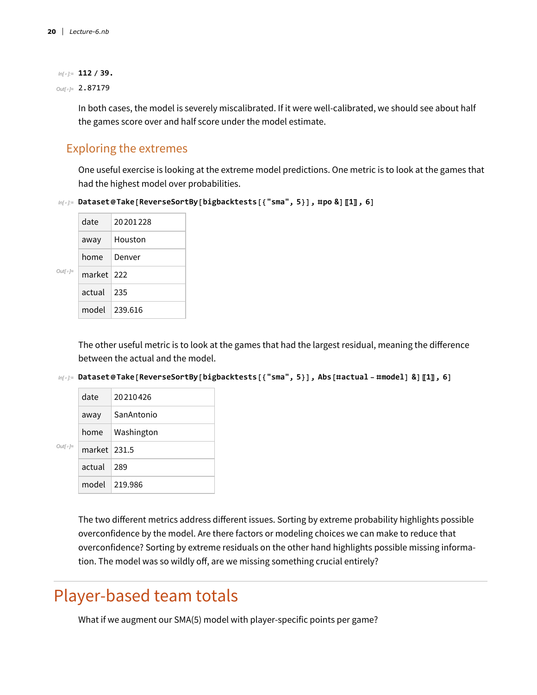#### *In[ ]:=* **112 / 39.**

*Out[]=* 2.87179

In both cases, the model is severely miscalibrated. If it were well-calibrated, we should see about half the games score over and half score under the model estimate.

### Exploring the extremes

One useful exercise is looking at the extreme model predictions. One metric is to look at the games that had the highest model over probabilities.

```
In[ ]:= Dataset@Take[ReverseSortBy[bigbacktests[{"sma", 5}], #po &]〚1〛, 6]
```

|                            | date         | 20201228      |
|----------------------------|--------------|---------------|
|                            | away         | Houston       |
|                            | home         | Denver        |
| $Out\lceil \circ \rceil =$ | market   222 |               |
|                            | $actual$ 235 |               |
|                            |              | model 239.616 |

The other useful metric is to look at the games that had the largest residual, meaning the difference between the actual and the model.

 $ln[\cdot]$ : Dataset@Take[ReverseSortBy[bigbacktests[{"sma", 5}], Abs[#actual-#model] &][1], 6]

| $Out[$ $\circ$ ]= | date         | 20210426          |
|-------------------|--------------|-------------------|
|                   | away         | SanAntonio        |
|                   |              | home   Washington |
|                   | market 231.5 |                   |
|                   | actual l     | 289               |
|                   |              | model 219.986     |

The two different metrics address different issues. Sorting by extreme probability highlights possible overconfidence by the model. Are there factors or modeling choices we can make to reduce that overconfidence? Sorting by extreme residuals on the other hand highlights possible missing information. The model was so wildly off, are we missing something crucial entirely?

# Player-based team totals

What if we augment our SMA(5) model with player-specific points per game?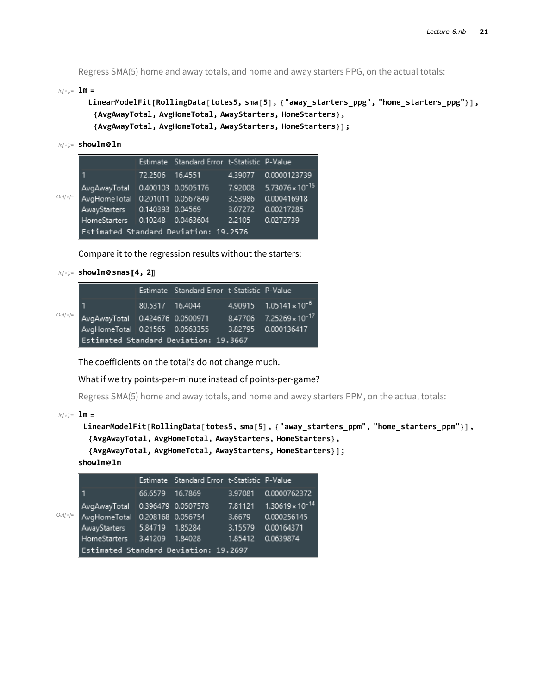Regress SMA(5) home and away totals, and home and away starters PPG, on the actual totals:

 $In[•] := \mathbf{lm} =$ 

```
LinearModelFit[RollingData[totes5, sma[5], {"away_starters_ppg", "home_starters_ppg"}],
 {AvgAwayTotal, AvgHomeTotal, AwayStarters, HomeStarters},
 {AvgAwayTotal, AvgHomeTotal, AwayStarters, HomeStarters}];
```

```
In[ ]:= showlm@lm
```

|                  |                                       |         | Estimate Standard Error t-Statistic P-Value |         |                           |
|------------------|---------------------------------------|---------|---------------------------------------------|---------|---------------------------|
|                  |                                       | 72.2506 | 16.4551                                     | 4.39077 | 0.0000123739              |
|                  | AvgAwayTotal   0.400103 0.0505176     |         |                                             | 7.92008 | $5.73076 \times 10^{-15}$ |
| $OutI \circ I =$ | AvgHomeTotal 0.201011 0.0567849       |         |                                             | 3.53986 | 0.000416918               |
|                  | AwayStarters 0.140393 0.04569         |         |                                             | 3.07272 | 0.00217285                |
|                  | HomeStarters 0.10248 0.0463604        |         |                                             | 2.2105  | 0.0272739                 |
|                  | Estimated Standard Deviation: 19.2576 |         |                                             |         |                           |

Compare it to the regression results without the starters:

```
In[ ]:= showlm@smas〚4, 2〛
```

|                                                                                        | Estimate Standard Error t-Statistic P-Value |                                    |
|----------------------------------------------------------------------------------------|---------------------------------------------|------------------------------------|
|                                                                                        | 80.5317 16.4044                             | $4.90915$ $1.05141 \times 10^{-6}$ |
| $\frac{Out[e]}{E}$ AvgAwayTotal 0.424676 0.0500971 8.47706 7.25269 × 10 <sup>-17</sup> |                                             |                                    |
| AvgHomeTotal 0.21565 0.0563355 3.82795 0.000136417                                     |                                             |                                    |
| Estimated Standard Deviation: 19.3667                                                  |                                             |                                    |

The coefficients on the total's do not change much.

What if we try points-per-minute instead of points-per-game?

Regress SMA(5) home and away totals, and home and away starters PPM, on the actual totals:

 $In[*e*] := \mathbf{Im} =$ 

```
LinearModelFit[RollingData[totes5, sma[5], {"away_starters_ppm", "home_starters_ppm"}],
  {AvgAwayTotal, AvgHomeTotal, AwayStarters, HomeStarters},
  {AvgAwayTotal, AvgHomeTotal, AwayStarters, HomeStarters}];
showlm@lm
```

|                   |                                       |         | Estimate Standard Error t-Statistic P-Value |         |                           |  |
|-------------------|---------------------------------------|---------|---------------------------------------------|---------|---------------------------|--|
|                   | 1                                     | 66.6579 | 16.7869                                     | 3.97081 | 0.0000762372              |  |
|                   | AvgAwayTotal   0.396479 0.0507578     |         |                                             | 7.81121 | $1.30619 \times 10^{-14}$ |  |
| $Out[$ $\circ$ ]= | AvgHomeTotal 0.208168 0.056754        |         |                                             | 3.6679  | 0.000256145               |  |
|                   | AwayStarters 5.84719                  |         | 1.85284                                     | 3.15579 | 0.00164371                |  |
|                   | HomeStarters 3.41209                  |         | 1.84028                                     | 1.85412 | 0.0639874                 |  |
|                   | Estimated Standard Deviation: 19.2697 |         |                                             |         |                           |  |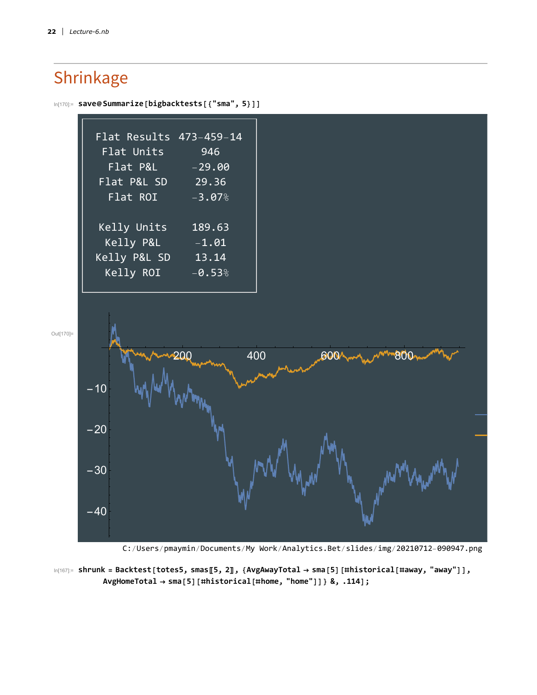# Shrinkage





C:/Users/pmaymin/Documents/My Work/Analytics.Bet/slides/img/20210712-090947.png

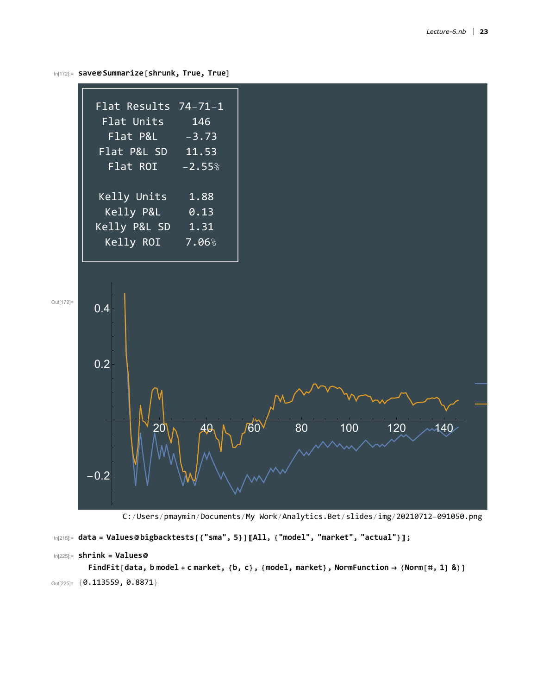



C:/Users/pmaymin/Documents/My Work/Analytics.Bet/slides/img/20210712-091050.png

```
In[215]:= data = Values@bigbacktests[{"sma", 5}]〚All, {"model", "market", "actual"}〛;
```

```
In[225]:= shrink = Values@
```
FindFit[data, b model + c market, {b, c}, {model, market}, NormFunction  $\rightarrow$  (Norm[#, 1] &)] Out[225]= {**0.113559, 0.8871**}